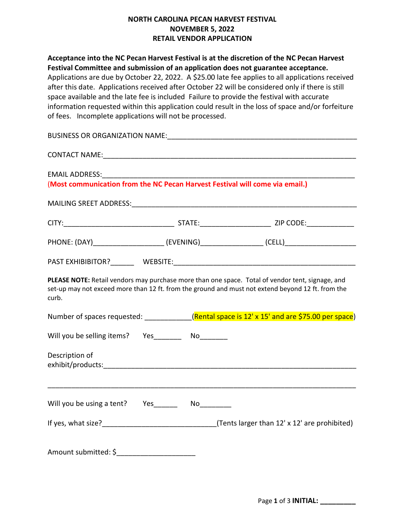## **NORTH CAROLINA PECAN HARVEST FESTIVAL NOVEMBER 5, 2022 RETAIL VENDOR APPLICATION**

**Acceptance into the NC Pecan Harvest Festival is at the discretion of the NC Pecan Harvest Festival Committee and submission of an application does not guarantee acceptance.**  Applications are due by October 22, 2022. A \$25.00 late fee applies to all applications received after this date. Applications received after October 22 will be considered only if there is still space available and the late fee is includedFailure to provide the festival with accurate information requested within this application could result in the loss of space and/or forfeiture of fees. Incomplete applications will not be processed.

| CONTACT NAME: NAME:                                                                                                                                                                                            |  |  |  |  |  |
|----------------------------------------------------------------------------------------------------------------------------------------------------------------------------------------------------------------|--|--|--|--|--|
| (Most communication from the NC Pecan Harvest Festival will come via email.)                                                                                                                                   |  |  |  |  |  |
|                                                                                                                                                                                                                |  |  |  |  |  |
|                                                                                                                                                                                                                |  |  |  |  |  |
| PHONE: (DAY)_________________________(EVENING)____________________(CELL)___________________________                                                                                                            |  |  |  |  |  |
|                                                                                                                                                                                                                |  |  |  |  |  |
| PLEASE NOTE: Retail vendors may purchase more than one space. Total of vendor tent, signage, and<br>set-up may not exceed more than 12 ft. from the ground and must not extend beyond 12 ft. from the<br>curb. |  |  |  |  |  |
| Number of spaces requested: ____________(Rental space is 12' x 15' and are \$75.00 per space)                                                                                                                  |  |  |  |  |  |
| Will you be selling items? Yes ________ No_______                                                                                                                                                              |  |  |  |  |  |
| Description of                                                                                                                                                                                                 |  |  |  |  |  |
|                                                                                                                                                                                                                |  |  |  |  |  |
| Will you be using a tent? Yes_________ No________                                                                                                                                                              |  |  |  |  |  |
| If yes, what size?___________________________________(Tents larger than 12' x 12' are prohibited)                                                                                                              |  |  |  |  |  |
| Amount submitted: \$                                                                                                                                                                                           |  |  |  |  |  |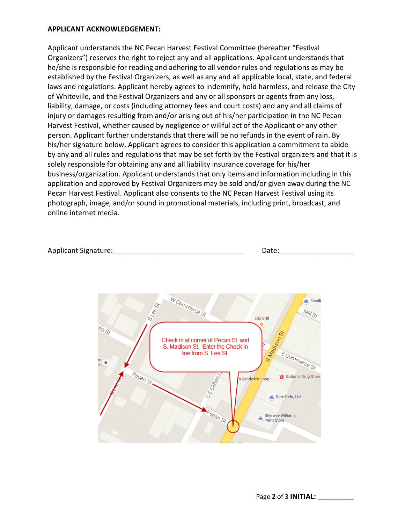## **APPLICANT ACKNOWLEDGEMENT:**

Applicant understands the NC Pecan Harvest Festival Committee (hereafter "Festival Organizers") reserves the right to reject any and all applications. Applicant understands that he/she is responsible for reading and adhering to all vendor rules and regulations as may be established by the Festival Organizers, as well as any and all applicable local, state, and federal laws and regulations. Applicant hereby agrees to indemnify, hold harmless, and release the City of Whiteville, and the Festival Organizers and any or all sponsors or agents from any loss, liability, damage, or costs (including attorney fees and court costs) and any and all claims of injury or damages resulting from and/or arising out of his/her participation in the NC Pecan Harvest Festival, whether caused by negligence or willful act of the Applicant or any other person. Applicant further understands that there will be no refunds in the event of rain. By his/her signature below, Applicant agrees to consider this application a commitment to abide by any and all rules and regulations that may be set forth by the Festival organizers and that it is solely responsible for obtaining any and all liability insurance coverage for his/her business/organization. Applicant understands that only items and information including in this application and approved by Festival Organizers may be sold and/or given away during the NC Pecan Harvest Festival. Applicant also consents to the NC Pecan Harvest Festival using its photograph, image, and/or sound in promotional materials, including print, broadcast, and online internet media.

| <b>Applicant Signature:</b> | )at∩ |
|-----------------------------|------|
|-----------------------------|------|